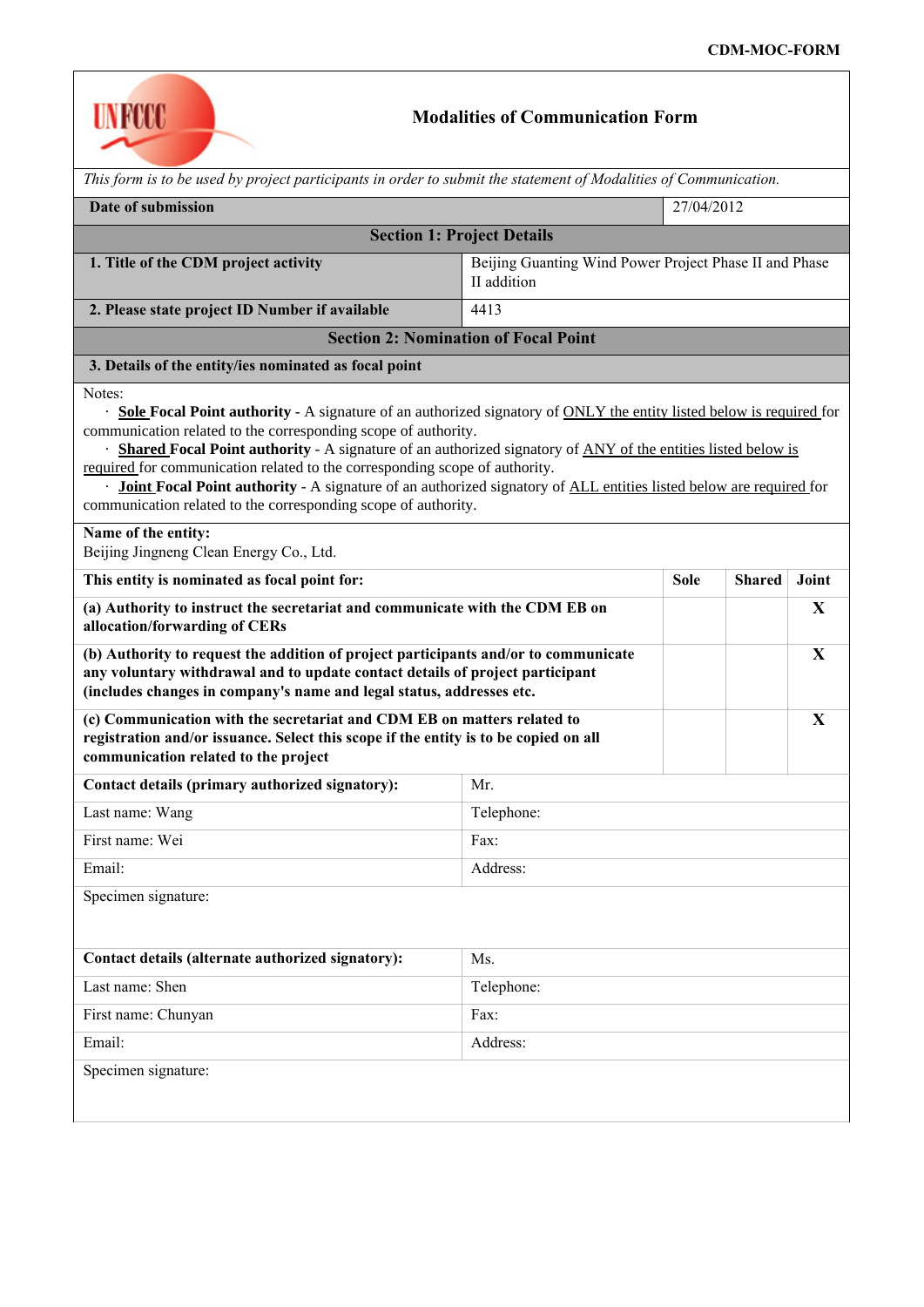

## **Modalities of Communication Form**

| This form is to be used by project participants in order to submit the statement of Modalities of Communication.                                                                                                                                                                                                                                                                                                                                                                                                                                                                                                                                           |                                                                       |             |               |       |  |  |  |
|------------------------------------------------------------------------------------------------------------------------------------------------------------------------------------------------------------------------------------------------------------------------------------------------------------------------------------------------------------------------------------------------------------------------------------------------------------------------------------------------------------------------------------------------------------------------------------------------------------------------------------------------------------|-----------------------------------------------------------------------|-------------|---------------|-------|--|--|--|
| Date of submission                                                                                                                                                                                                                                                                                                                                                                                                                                                                                                                                                                                                                                         |                                                                       | 27/04/2012  |               |       |  |  |  |
| <b>Section 1: Project Details</b>                                                                                                                                                                                                                                                                                                                                                                                                                                                                                                                                                                                                                          |                                                                       |             |               |       |  |  |  |
| 1. Title of the CDM project activity                                                                                                                                                                                                                                                                                                                                                                                                                                                                                                                                                                                                                       | Beijing Guanting Wind Power Project Phase II and Phase<br>II addition |             |               |       |  |  |  |
| 2. Please state project ID Number if available                                                                                                                                                                                                                                                                                                                                                                                                                                                                                                                                                                                                             | 4413                                                                  |             |               |       |  |  |  |
| <b>Section 2: Nomination of Focal Point</b>                                                                                                                                                                                                                                                                                                                                                                                                                                                                                                                                                                                                                |                                                                       |             |               |       |  |  |  |
| 3. Details of the entity/ies nominated as focal point                                                                                                                                                                                                                                                                                                                                                                                                                                                                                                                                                                                                      |                                                                       |             |               |       |  |  |  |
| Notes:<br>· Sole Focal Point authority - A signature of an authorized signatory of ONLY the entity listed below is required for<br>communication related to the corresponding scope of authority.<br>Shared Focal Point authority - A signature of an authorized signatory of ANY of the entities listed below is<br>required for communication related to the corresponding scope of authority.<br>Joint Focal Point authority - A signature of an authorized signatory of ALL entities listed below are required for<br>communication related to the corresponding scope of authority.<br>Name of the entity:<br>Beijing Jingneng Clean Energy Co., Ltd. |                                                                       |             |               |       |  |  |  |
| This entity is nominated as focal point for:                                                                                                                                                                                                                                                                                                                                                                                                                                                                                                                                                                                                               |                                                                       | <b>Sole</b> | <b>Shared</b> | Joint |  |  |  |
| (a) Authority to instruct the secretariat and communicate with the CDM EB on<br>allocation/forwarding of CERs                                                                                                                                                                                                                                                                                                                                                                                                                                                                                                                                              |                                                                       |             |               | X     |  |  |  |
| (b) Authority to request the addition of project participants and/or to communicate<br>any voluntary withdrawal and to update contact details of project participant<br>(includes changes in company's name and legal status, addresses etc.                                                                                                                                                                                                                                                                                                                                                                                                               |                                                                       |             |               | X     |  |  |  |
| (c) Communication with the secretariat and CDM EB on matters related to<br>registration and/or issuance. Select this scope if the entity is to be copied on all<br>communication related to the project                                                                                                                                                                                                                                                                                                                                                                                                                                                    |                                                                       |             |               | X     |  |  |  |
| Contact details (primary authorized signatory):                                                                                                                                                                                                                                                                                                                                                                                                                                                                                                                                                                                                            | Mr.                                                                   |             |               |       |  |  |  |
| Last name: Wang                                                                                                                                                                                                                                                                                                                                                                                                                                                                                                                                                                                                                                            | Telephone:                                                            |             |               |       |  |  |  |
| First name: Wei                                                                                                                                                                                                                                                                                                                                                                                                                                                                                                                                                                                                                                            | Fax:                                                                  |             |               |       |  |  |  |
| Email:                                                                                                                                                                                                                                                                                                                                                                                                                                                                                                                                                                                                                                                     | Address:                                                              |             |               |       |  |  |  |
| Specimen signature:                                                                                                                                                                                                                                                                                                                                                                                                                                                                                                                                                                                                                                        |                                                                       |             |               |       |  |  |  |
| Contact details (alternate authorized signatory):                                                                                                                                                                                                                                                                                                                                                                                                                                                                                                                                                                                                          | Ms.                                                                   |             |               |       |  |  |  |
| Last name: Shen                                                                                                                                                                                                                                                                                                                                                                                                                                                                                                                                                                                                                                            | Telephone:                                                            |             |               |       |  |  |  |
| First name: Chunyan                                                                                                                                                                                                                                                                                                                                                                                                                                                                                                                                                                                                                                        | Fax:                                                                  |             |               |       |  |  |  |
| Email:                                                                                                                                                                                                                                                                                                                                                                                                                                                                                                                                                                                                                                                     | Address:                                                              |             |               |       |  |  |  |
| Specimen signature:                                                                                                                                                                                                                                                                                                                                                                                                                                                                                                                                                                                                                                        |                                                                       |             |               |       |  |  |  |